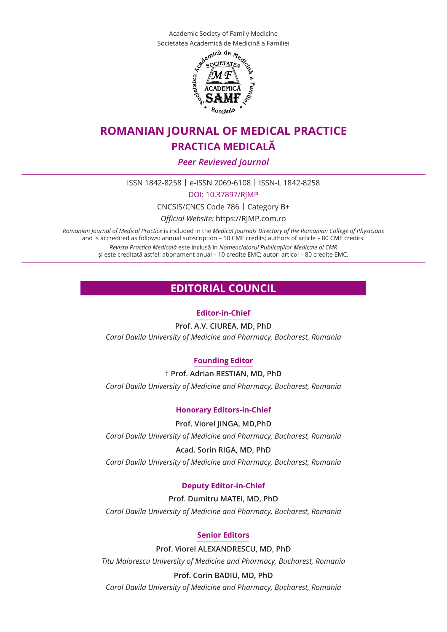Academic Society of Family Medicine Societatea Academică de Medicină a Familiei



# **ROMANIAN JOURNAL of medical practice practica medicală**

*Peer Reviewed Journal*

ISSN 1842-8258 | e-ISSN 2069-6108 | ISSN-L 1842-8258

DOI: 10.37897/RJMP

CNCSIS/CNCS Code 786 | Category B+

*Official Website:* https://RJMP.com.ro

*Romanian Journal of Medical Practice* is included in the *Medical Journals Directory of the Romanian College of Physicians* and is accredited as follows: annual subscription – 10 CME credits; authors of article – 80 CME credits. *Revista Practica Medicală* este inclusă în *Nomenclatorul Publicaţiilor Medicale al CMR* şi este creditată astfel: abonament anual – 10 credite EMC; autori articol – 80 credite EMC.

## **EDITORIAL COUNCIL**

#### **Editor-in-Chief**

**Prof. A.V. CIUREA, MD, PhD** *Carol Davila University of Medicine and Pharmacy, Bucharest, Romania*

## **Founding Editor**

† **Prof. Adrian RESTIAN, MD, PhD** *Carol Davila University of Medicine and Pharmacy, Bucharest, Romania*

## **Honorary Editors-in-Chief**

**Prof. Viorel JINGA, MD,PhD**

*Carol Davila University of Medicine and Pharmacy, Bucharest, Romania*

**Acad. Sorin RIGA, MD, PhD** *Carol Davila University of Medicine and Pharmacy, Bucharest, Romania* 

## **Deputy Editor-in-Chief**

**Prof. Dumitru MATEI, MD, PhD** *Carol Davila University of Medicine and Pharmacy, Bucharest, Romania*

## **Senior Editors**

**Prof. Viorel ALEXANDRESCU, MD, PhD** *Titu Maiorescu University of Medicine and Pharmacy, Bucharest, Romania*

## **Prof. Corin BADIU, MD, PhD**

*Carol Davila University of Medicine and Pharmacy, Bucharest, Romania*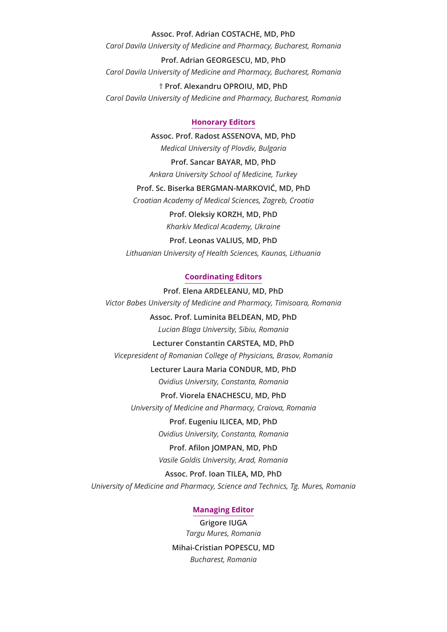#### **Assoc. Prof. Adrian COSTACHE, MD, PhD**

*Carol Davila University of Medicine and Pharmacy, Bucharest, Romania*

**Prof. Adrian GEORGESCU, MD, PhD** *Carol Davila University of Medicine and Pharmacy, Bucharest, Romania* † **Prof. Alexandru OPROIU, MD, PhD**

*Carol Davila University of Medicine and Pharmacy, Bucharest, Romania*

#### **Honorary Editors**

**Assoc. Prof. Radost ASSENOVA, MD, PhD** *Medical University of Plovdiv, Bulgaria*

**Prof. Sancar BAYAR, MD, PhD** *Ankara University School of Medicine, Turkey*

**Prof. Sc. Biserka BERGMAN-MARKOVIĆ, MD, PhD** *Croatian Academy of Medical Sciences, Zagreb, Croatia*

> **Prof. Oleksiy KORZH, MD, PhD** *Kharkiv Medical Academy, Ukraine*

**Prof. Leonas VALIUS, MD, PhD** *Lithuanian University of Health Sciences, Kaunas, Lithuania*

#### **Coordinating Editors**

**Prof. Elena ARDELEANU, MD, PhD**  *Victor Babes University of Medicine and Pharmacy, Timisoara, Romania* 

> **Assoc. Prof. Luminita BELDEAN, MD, PhD**  *Lucian Blaga University, Sibiu, Romania*

**Lecturer Constantin CARSTEA, MD, PhD**  *Vicepresident of Romanian College of Physicians, Brasov, Romania* 

> **Lecturer Laura Maria CONDUR, MD, PhD**  *Ovidius University, Constanta, Romania*

**Prof. Viorela ENACHESCU, MD, PhD**  *University of Medicine and Pharmacy, Craiova, Romania* 

> **Prof. Eugeniu ILICEA, MD, PhD**  *Ovidius University, Constanta, Romania*

> **Prof. Afilon JOMPAN, MD, PhD**  *Vasile Goldis University, Arad, Romania*

**Assoc. Prof. Ioan TILEA, MD, PhD**  *University of Medicine and Pharmacy, Science and Technics, Tg. Mures, Romania*

#### **Managing Editor**

**Grigore IUGA** *Targu Mures, Romania* **Mihai-Cristian POPESCU, MD** *Bucharest, Romania*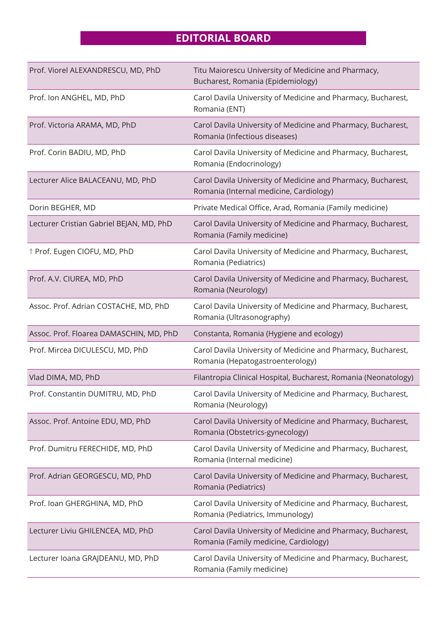# **EDITORIAL BOARD**

| Prof. Viorel ALEXANDRESCU, MD, PhD       | Titu Maiorescu University of Medicine and Pharmacy,<br>Bucharest, Romania (Epidemiology)                |
|------------------------------------------|---------------------------------------------------------------------------------------------------------|
| Prof. Ion ANGHEL, MD, PhD                | Carol Davila University of Medicine and Pharmacy, Bucharest,<br>Romania (ENT)                           |
| Prof. Victoria ARAMA, MD, PhD            | Carol Davila University of Medicine and Pharmacy, Bucharest,<br>Romania (Infectious diseases)           |
| Prof. Corin BADIU, MD, PhD               | Carol Davila University of Medicine and Pharmacy, Bucharest,<br>Romania (Endocrinology)                 |
| Lecturer Alice BALACEANU, MD, PhD        | Carol Davila University of Medicine and Pharmacy, Bucharest,<br>Romania (Internal medicine, Cardiology) |
| Dorin BEGHER, MD                         | Private Medical Office, Arad, Romania (Family medicine)                                                 |
| Lecturer Cristian Gabriel BEJAN, MD, PhD | Carol Davila University of Medicine and Pharmacy, Bucharest,<br>Romania (Family medicine)               |
| <sup>†</sup> Prof. Eugen CIOFU, MD, PhD  | Carol Davila University of Medicine and Pharmacy, Bucharest,<br>Romania (Pediatrics)                    |
| Prof. A.V. CIUREA, MD, PhD               | Carol Davila University of Medicine and Pharmacy, Bucharest,<br>Romania (Neurology)                     |
| Assoc. Prof. Adrian COSTACHE, MD, PhD    | Carol Davila University of Medicine and Pharmacy, Bucharest,<br>Romania (Ultrasonography)               |
| Assoc. Prof. Floarea DAMASCHIN, MD, PhD  | Constanta, Romania (Hygiene and ecology)                                                                |
| Prof. Mircea DICULESCU, MD, PhD          | Carol Davila University of Medicine and Pharmacy, Bucharest,<br>Romania (Hepatogastroenterology)        |
| Vlad DIMA, MD, PhD                       | Filantropia Clinical Hospital, Bucharest, Romania (Neonatology)                                         |
| Prof. Constantin DUMITRU, MD, PhD        | Carol Davila University of Medicine and Pharmacy, Bucharest,<br>Romania (Neurology)                     |
| Assoc. Prof. Antoine EDU, MD, PhD        | Carol Davila University of Medicine and Pharmacy, Bucharest,<br>Romania (Obstetrics-gynecology)         |
| Prof. Dumitru FERECHIDE, MD, PhD         | Carol Davila University of Medicine and Pharmacy, Bucharest,<br>Romania (Internal medicine)             |
| Prof. Adrian GEORGESCU, MD, PhD          | Carol Davila University of Medicine and Pharmacy, Bucharest,<br>Romania (Pediatrics)                    |
| Prof. Ioan GHERGHINA, MD, PhD            | Carol Davila University of Medicine and Pharmacy, Bucharest,<br>Romania (Pediatrics, Immunology)        |
| Lecturer Liviu GHILENCEA, MD, PhD        | Carol Davila University of Medicine and Pharmacy, Bucharest,<br>Romania (Family medicine, Cardiology)   |
| Lecturer Ioana GRAJDEANU, MD, PhD        | Carol Davila University of Medicine and Pharmacy, Bucharest,<br>Romania (Family medicine)               |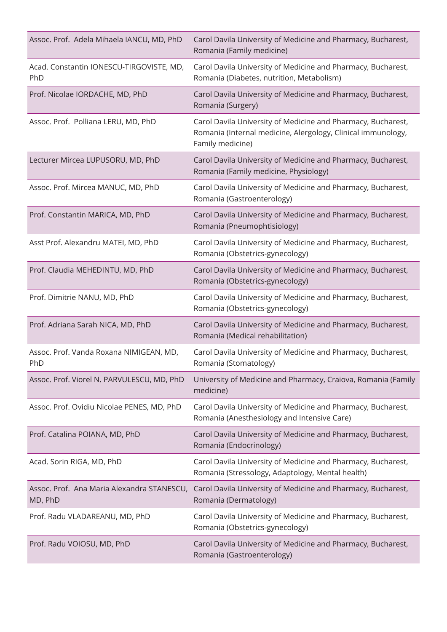| Assoc. Prof. Adela Mihaela IANCU, MD, PhD             | Carol Davila University of Medicine and Pharmacy, Bucharest,<br>Romania (Family medicine)                                                        |
|-------------------------------------------------------|--------------------------------------------------------------------------------------------------------------------------------------------------|
| Acad. Constantin IONESCU-TIRGOVISTE, MD,<br>PhD       | Carol Davila University of Medicine and Pharmacy, Bucharest,<br>Romania (Diabetes, nutrition, Metabolism)                                        |
| Prof. Nicolae IORDACHE, MD, PhD                       | Carol Davila University of Medicine and Pharmacy, Bucharest,<br>Romania (Surgery)                                                                |
| Assoc. Prof. Polliana LERU, MD, PhD                   | Carol Davila University of Medicine and Pharmacy, Bucharest,<br>Romania (Internal medicine, Alergology, Clinical immunology,<br>Family medicine) |
| Lecturer Mircea LUPUSORU, MD, PhD                     | Carol Davila University of Medicine and Pharmacy, Bucharest,<br>Romania (Family medicine, Physiology)                                            |
| Assoc. Prof. Mircea MANUC, MD, PhD                    | Carol Davila University of Medicine and Pharmacy, Bucharest,<br>Romania (Gastroenterology)                                                       |
| Prof. Constantin MARICA, MD, PhD                      | Carol Davila University of Medicine and Pharmacy, Bucharest,<br>Romania (Pneumophtisiology)                                                      |
| Asst Prof. Alexandru MATEI, MD, PhD                   | Carol Davila University of Medicine and Pharmacy, Bucharest,<br>Romania (Obstetrics-gynecology)                                                  |
| Prof. Claudia MEHEDINTU, MD, PhD                      | Carol Davila University of Medicine and Pharmacy, Bucharest,<br>Romania (Obstetrics-gynecology)                                                  |
| Prof. Dimitrie NANU, MD, PhD                          | Carol Davila University of Medicine and Pharmacy, Bucharest,<br>Romania (Obstetrics-gynecology)                                                  |
| Prof. Adriana Sarah NICA, MD, PhD                     | Carol Davila University of Medicine and Pharmacy, Bucharest,<br>Romania (Medical rehabilitation)                                                 |
| Assoc. Prof. Vanda Roxana NIMIGEAN, MD,<br>PhD        | Carol Davila University of Medicine and Pharmacy, Bucharest,<br>Romania (Stomatology)                                                            |
| Assoc. Prof. Viorel N. PARVULESCU, MD, PhD            | University of Medicine and Pharmacy, Craiova, Romania (Family<br>medicine)                                                                       |
| Assoc. Prof. Ovidiu Nicolae PENES, MD, PhD            | Carol Davila University of Medicine and Pharmacy, Bucharest,<br>Romania (Anesthesiology and Intensive Care)                                      |
| Prof. Catalina POIANA, MD, PhD                        | Carol Davila University of Medicine and Pharmacy, Bucharest,<br>Romania (Endocrinology)                                                          |
| Acad. Sorin RIGA, MD, PhD                             | Carol Davila University of Medicine and Pharmacy, Bucharest,<br>Romania (Stressology, Adaptology, Mental health)                                 |
| Assoc. Prof. Ana Maria Alexandra STANESCU,<br>MD, PhD | Carol Davila University of Medicine and Pharmacy, Bucharest,<br>Romania (Dermatology)                                                            |
| Prof. Radu VLADAREANU, MD, PhD                        | Carol Davila University of Medicine and Pharmacy, Bucharest,<br>Romania (Obstetrics-gynecology)                                                  |
| Prof. Radu VOIOSU, MD, PhD                            | Carol Davila University of Medicine and Pharmacy, Bucharest,<br>Romania (Gastroenterology)                                                       |